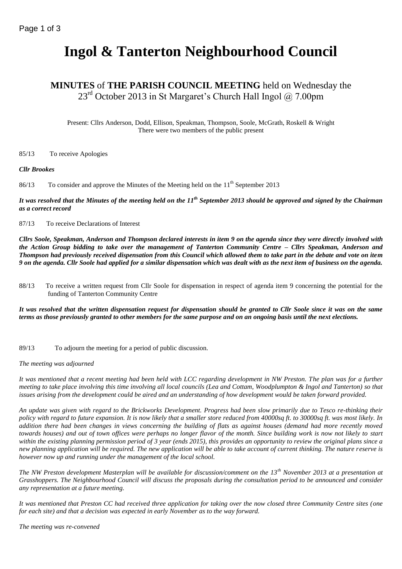# **Ingol & Tanterton Neighbourhood Council**

# **MINUTES** of **THE PARISH COUNCIL MEETING** held on Wednesday the  $23<sup>rd</sup>$  October 2013 in St Margaret's Church Hall Ingol  $\omega$ , 7.00pm

Present: Cllrs Anderson, Dodd, Ellison, Speakman, Thompson, Soole, McGrath, Roskell & Wright There were two members of the public present

85/13 To receive Apologies

#### *Cllr Brookes*

86/13 To consider and approve the Minutes of the Meeting held on the  $11<sup>th</sup>$  September 2013

*It was resolved that the Minutes of the meeting held on the 11 th September 2013 should be approved and signed by the Chairman as a correct record*

87/13 To receive Declarations of Interest

*Cllrs Soole, Speakman, Anderson and Thompson declared interests in item 9 on the agenda since they were directly involved with the Action Group bidding to take over the management of Tanterton Community Centre – Cllrs Speakman, Anderson and Thompson had previously received dispensation from this Council which allowed them to take part in the debate and vote on item 9 on the agenda. Cllr Soole had applied for a similar dispensation which was dealt with as the next item of business on the agenda.*

88/13 To receive a written request from Cllr Soole for dispensation in respect of agenda item 9 concerning the potential for the funding of Tanterton Community Centre

*It was resolved that the written dispensation request for dispensation should be granted to Cllr Soole since it was on the same terms as those previously granted to other members for the same purpose and on an ongoing basis until the next elections.*

89/13 To adjourn the meeting for a period of public discussion.

#### *The meeting was adjourned*

*It was mentioned that a recent meeting had been held with LCC regarding development in NW Preston. The plan was for a further meeting to take place involving this time involving all local councils (Lea and Cottam, Woodplumpton & Ingol and Tanterton) so that issues arising from the development could be aired and an understanding of how development would be taken forward provided.*

*An update was given with regard to the Brickworks Development. Progress had been slow primarily due to Tesco re-thinking their policy with regard to future expansion. It is now likely that a smaller store reduced from 40000sq ft. to 30000sq ft. was most likely. In addition there had been changes in views concerning the building of flats as against houses (demand had more recently moved towards houses) and out of town offices were perhaps no longer flavor of the month. Since building work is now not likely to start within the existing planning permission period of 3 year (ends 2015), this provides an opportunity to review the original plans since a new planning application will be required. The new application will be able to take account of current thinking. The nature reserve is however now up and running under the management of the local school.*

*The NW Preston development Masterplan will be available for discussion/comment on the 13th November 2013 at a presentation at Grasshoppers. The Neighbourhood Council will discuss the proposals during the consultation period to be announced and consider any representation at a future meeting.*

*It was mentioned that Preston CC had received three application for taking over the now closed three Community Centre sites (one for each site) and that a decision was expected in early November as to the way forward.*

*The meeting was re-convened*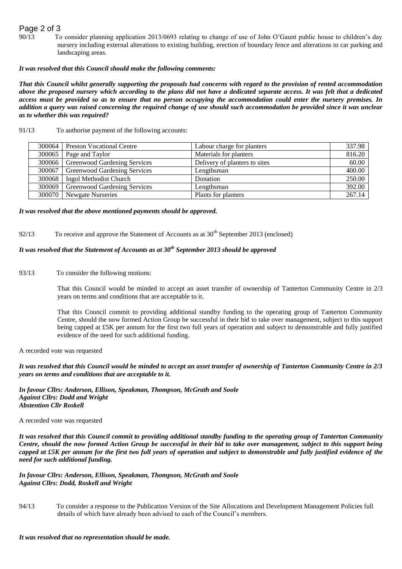## Page 2 of 3

90/13 To consider planning application 2013/0693 relating to change of use of John O'Gaunt public house to children's day nursery including external alterations to existing building, erection of boundary fence and alterations to car parking and landscaping areas.

#### *It was resolved that this Council should make the following comments:*

*That this Council whilst generally supporting the proposals had concerns with regard to the provision of rented accommodation* above the proposed nursery which according to the plans did not have a dedicated separate access. It was felt that a dedicated *access must be provided so as to ensure that no person occupying the accommodation could enter the nursery premises. In addition a query was raised concerning the required change of use should such accommodation be provided since it was unclear as to whether this was required?*

| 300064   | <b>Preston Vocational Centre</b>      | Labour charge for planters    | 337.98 |
|----------|---------------------------------------|-------------------------------|--------|
| $300065$ | Page and Taylor                       | Materials for planters        | 816.20 |
| 300066   | <b>Greenwood Gardening Services</b>   | Delivery of planters to sites | 60.00  |
|          | 300067   Greenwood Gardening Services | Lengthsman                    | 400.00 |
| 300068   | Ingol Methodist Church                | Donation                      | 250.00 |
| 300069   | <b>Greenwood Gardening Services</b>   | Lengthsman                    | 392.00 |
| 300070   | <b>Newgate Nurseries</b>              | Plants for planters           | 267.14 |

#### 91/13 To authorise payment of the following accounts:

#### *It was resolved that the above mentioned payments should be approved.*

92/13 To receive and approve the Statement of Accounts as at  $30<sup>th</sup>$  September 2013 (enclosed)

## *It was resolved that the Statement of Accounts as at 30th September 2013 should be approved*

93/13 To consider the following motions:

That this Council would be minded to accept an asset transfer of ownership of Tanterton Community Centre in 2/3 years on terms and conditions that are acceptable to it.

That this Council commit to providing additional standby funding to the operating group of Tanterton Community Centre, should the now formed Action Group be successful in their bid to take over management, subject to this support being capped at £5K per annum for the first two full years of operation and subject to demonstrable and fully justified evidence of the need for such additional funding.

A recorded vote was requested

*It was resolved that this Council would be minded to accept an asset transfer of ownership of Tanterton Community Centre in 2/3 years on terms and conditions that are acceptable to it.*

*In favour Cllrs: Anderson, Ellison, Speakman, Thompson, McGrath and Soole Against Cllrs: Dodd and Wright Abstention Cllr Roskell* 

A recorded vote was requested

*It was resolved that this Council commit to providing additional standby funding to the operating group of Tanterton Community Centre, should the now formed Action Group be successful in their bid to take over management, subject to this support being capped at £5K per annum for the first two full years of operation and subject to demonstrable and fully justified evidence of the need for such additional funding.*

*In favour Cllrs: Anderson, Ellison, Speakman, Thompson, McGrath and Soole Against Cllrs: Dodd, Roskell and Wright*

94/13 To consider a response to the Publication Version of the Site Allocations and Development Management Policies full details of which have already been advised to each of the Council's members.